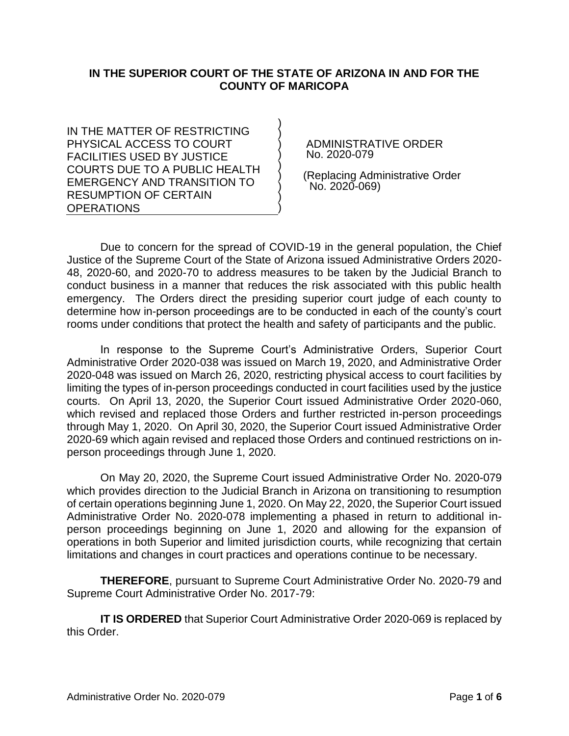# **IN THE SUPERIOR COURT OF THE STATE OF ARIZONA IN AND FOR THE COUNTY OF MARICOPA**

) ) ) ) ) ) ) ) )

IN THE MATTER OF RESTRICTING PHYSICAL ACCESS TO COURT FACILITIES USED BY JUSTICE COURTS DUE TO A PUBLIC HEALTH EMERGENCY AND TRANSITION TO RESUMPTION OF CERTAIN OPERATIONS

 ADMINISTRATIVE ORDER No. 2020-079

 (Replacing Administrative Order No. 2020-069)

Due to concern for the spread of COVID-19 in the general population, the Chief Justice of the Supreme Court of the State of Arizona issued Administrative Orders 2020- 48, 2020-60, and 2020-70 to address measures to be taken by the Judicial Branch to conduct business in a manner that reduces the risk associated with this public health emergency. The Orders direct the presiding superior court judge of each county to determine how in-person proceedings are to be conducted in each of the county's court rooms under conditions that protect the health and safety of participants and the public.

In response to the Supreme Court's Administrative Orders, Superior Court Administrative Order 2020-038 was issued on March 19, 2020, and Administrative Order 2020-048 was issued on March 26, 2020, restricting physical access to court facilities by limiting the types of in-person proceedings conducted in court facilities used by the justice courts. On April 13, 2020, the Superior Court issued Administrative Order 2020-060, which revised and replaced those Orders and further restricted in-person proceedings through May 1, 2020. On April 30, 2020, the Superior Court issued Administrative Order 2020-69 which again revised and replaced those Orders and continued restrictions on inperson proceedings through June 1, 2020.

On May 20, 2020, the Supreme Court issued Administrative Order No. 2020-079 which provides direction to the Judicial Branch in Arizona on transitioning to resumption of certain operations beginning June 1, 2020. On May 22, 2020, the Superior Court issued Administrative Order No. 2020-078 implementing a phased in return to additional inperson proceedings beginning on June 1, 2020 and allowing for the expansion of operations in both Superior and limited jurisdiction courts, while recognizing that certain limitations and changes in court practices and operations continue to be necessary.

**THEREFORE**, pursuant to Supreme Court Administrative Order No. 2020-79 and Supreme Court Administrative Order No. 2017-79:

**IT IS ORDERED** that Superior Court Administrative Order 2020-069 is replaced by this Order.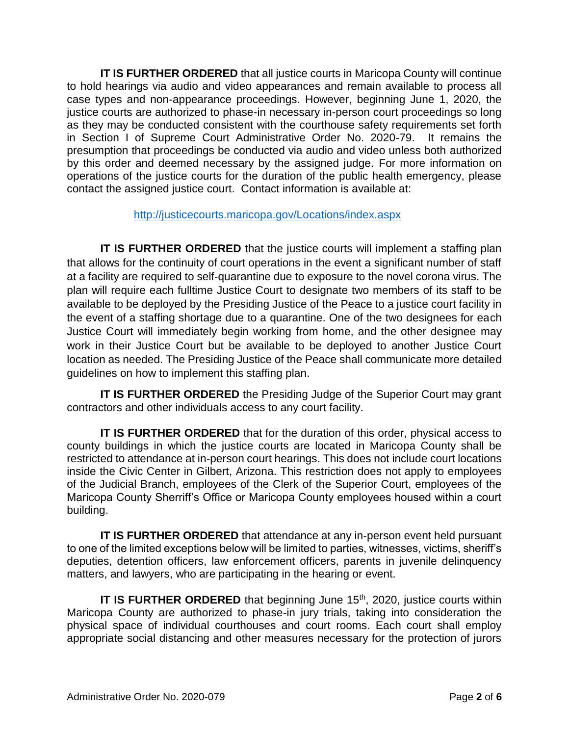**IT IS FURTHER ORDERED** that all justice courts in Maricopa County will continue to hold hearings via audio and video appearances and remain available to process all case types and non-appearance proceedings. However, beginning June 1, 2020, the justice courts are authorized to phase-in necessary in-person court proceedings so long as they may be conducted consistent with the courthouse safety requirements set forth in Section I of Supreme Court Administrative Order No. 2020-79. It remains the presumption that proceedings be conducted via audio and video unless both authorized by this order and deemed necessary by the assigned judge. For more information on operations of the justice courts for the duration of the public health emergency, please contact the assigned justice court. Contact information is available at:

## <http://justicecourts.maricopa.gov/Locations/index.aspx>

**IT IS FURTHER ORDERED** that the justice courts will implement a staffing plan that allows for the continuity of court operations in the event a significant number of staff at a facility are required to self-quarantine due to exposure to the novel corona virus. The plan will require each fulltime Justice Court to designate two members of its staff to be available to be deployed by the Presiding Justice of the Peace to a justice court facility in the event of a staffing shortage due to a quarantine. One of the two designees for each Justice Court will immediately begin working from home, and the other designee may work in their Justice Court but be available to be deployed to another Justice Court location as needed. The Presiding Justice of the Peace shall communicate more detailed guidelines on how to implement this staffing plan.

**IT IS FURTHER ORDERED** the Presiding Judge of the Superior Court may grant contractors and other individuals access to any court facility.

**IT IS FURTHER ORDERED** that for the duration of this order, physical access to county buildings in which the justice courts are located in Maricopa County shall be restricted to attendance at in-person court hearings. This does not include court locations inside the Civic Center in Gilbert, Arizona. This restriction does not apply to employees of the Judicial Branch, employees of the Clerk of the Superior Court, employees of the Maricopa County Sherriff's Office or Maricopa County employees housed within a court building.

**IT IS FURTHER ORDERED** that attendance at any in-person event held pursuant to one of the limited exceptions below will be limited to parties, witnesses, victims, sheriff's deputies, detention officers, law enforcement officers, parents in juvenile delinquency matters, and lawyers, who are participating in the hearing or event.

**IT IS FURTHER ORDERED** that beginning June 15<sup>th</sup>, 2020, justice courts within Maricopa County are authorized to phase-in jury trials, taking into consideration the physical space of individual courthouses and court rooms. Each court shall employ appropriate social distancing and other measures necessary for the protection of jurors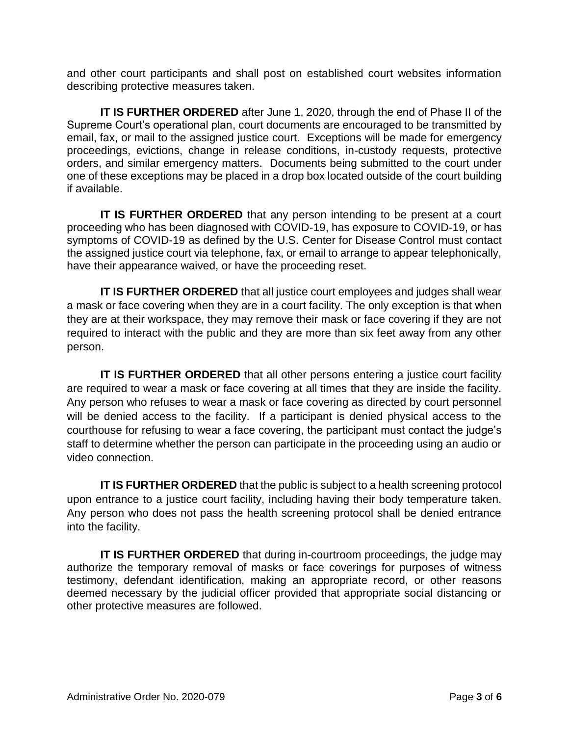and other court participants and shall post on established court websites information describing protective measures taken.

**IT IS FURTHER ORDERED** after June 1, 2020, through the end of Phase II of the Supreme Court's operational plan, court documents are encouraged to be transmitted by email, fax, or mail to the assigned justice court. Exceptions will be made for emergency proceedings, evictions, change in release conditions, in-custody requests, protective orders, and similar emergency matters. Documents being submitted to the court under one of these exceptions may be placed in a drop box located outside of the court building if available.

**IT IS FURTHER ORDERED** that any person intending to be present at a court proceeding who has been diagnosed with COVID-19, has exposure to COVID-19, or has symptoms of COVID-19 as defined by the U.S. Center for Disease Control must contact the assigned justice court via telephone, fax, or email to arrange to appear telephonically, have their appearance waived, or have the proceeding reset.

**IT IS FURTHER ORDERED** that all justice court employees and judges shall wear a mask or face covering when they are in a court facility. The only exception is that when they are at their workspace, they may remove their mask or face covering if they are not required to interact with the public and they are more than six feet away from any other person.

**IT IS FURTHER ORDERED** that all other persons entering a justice court facility are required to wear a mask or face covering at all times that they are inside the facility. Any person who refuses to wear a mask or face covering as directed by court personnel will be denied access to the facility. If a participant is denied physical access to the courthouse for refusing to wear a face covering, the participant must contact the judge's staff to determine whether the person can participate in the proceeding using an audio or video connection.

**IT IS FURTHER ORDERED** that the public is subject to a health screening protocol upon entrance to a justice court facility, including having their body temperature taken. Any person who does not pass the health screening protocol shall be denied entrance into the facility.

**IT IS FURTHER ORDERED** that during in-courtroom proceedings, the judge may authorize the temporary removal of masks or face coverings for purposes of witness testimony, defendant identification, making an appropriate record, or other reasons deemed necessary by the judicial officer provided that appropriate social distancing or other protective measures are followed.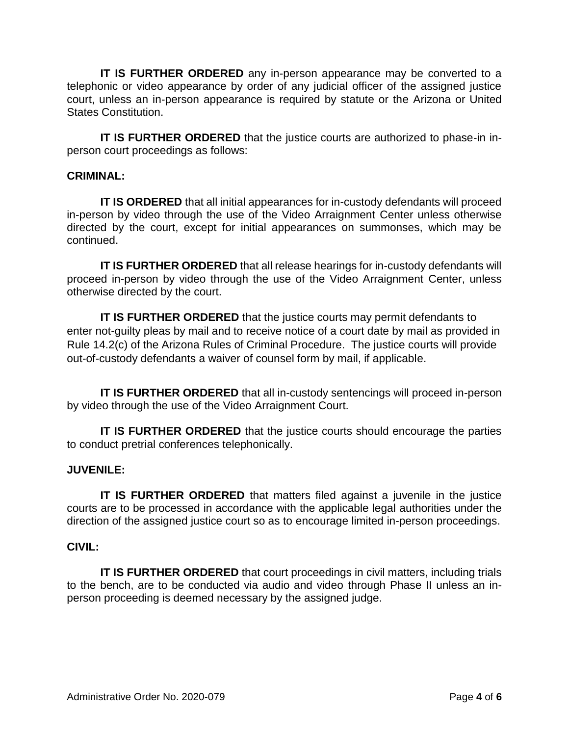**IT IS FURTHER ORDERED** any in-person appearance may be converted to a telephonic or video appearance by order of any judicial officer of the assigned justice court, unless an in-person appearance is required by statute or the Arizona or United States Constitution.

**IT IS FURTHER ORDERED** that the justice courts are authorized to phase-in inperson court proceedings as follows:

## **CRIMINAL:**

**IT IS ORDERED** that all initial appearances for in-custody defendants will proceed in-person by video through the use of the Video Arraignment Center unless otherwise directed by the court, except for initial appearances on summonses, which may be continued.

**IT IS FURTHER ORDERED** that all release hearings for in-custody defendants will proceed in-person by video through the use of the Video Arraignment Center, unless otherwise directed by the court.

**IT IS FURTHER ORDERED** that the justice courts may permit defendants to enter not-guilty pleas by mail and to receive notice of a court date by mail as provided in Rule 14.2(c) of the Arizona Rules of Criminal Procedure. The justice courts will provide out-of-custody defendants a waiver of counsel form by mail, if applicable.

**IT IS FURTHER ORDERED** that all in-custody sentencings will proceed in-person by video through the use of the Video Arraignment Court.

**IT IS FURTHER ORDERED** that the justice courts should encourage the parties to conduct pretrial conferences telephonically.

#### **JUVENILE:**

**IT IS FURTHER ORDERED** that matters filed against a juvenile in the justice courts are to be processed in accordance with the applicable legal authorities under the direction of the assigned justice court so as to encourage limited in-person proceedings.

#### **CIVIL:**

**IT IS FURTHER ORDERED** that court proceedings in civil matters, including trials to the bench, are to be conducted via audio and video through Phase II unless an inperson proceeding is deemed necessary by the assigned judge.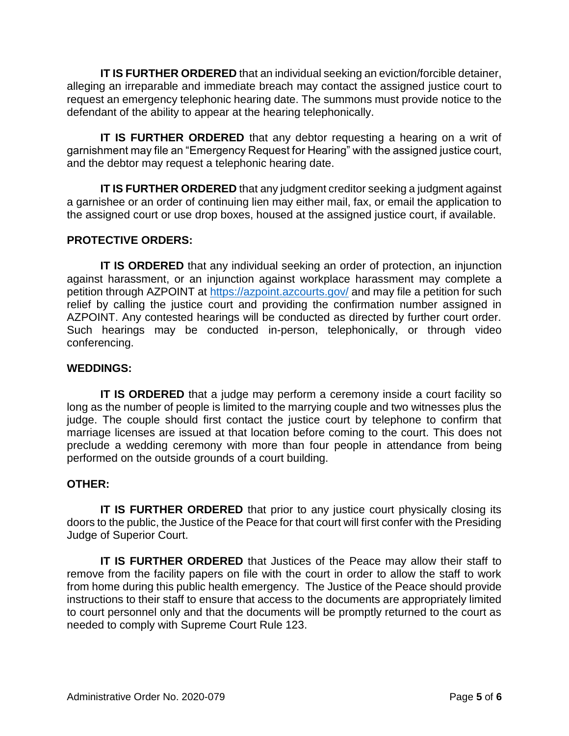**IT IS FURTHER ORDERED** that an individual seeking an eviction/forcible detainer, alleging an irreparable and immediate breach may contact the assigned justice court to request an emergency telephonic hearing date. The summons must provide notice to the defendant of the ability to appear at the hearing telephonically.

**IT IS FURTHER ORDERED** that any debtor requesting a hearing on a writ of garnishment may file an "Emergency Request for Hearing" with the assigned justice court, and the debtor may request a telephonic hearing date.

**IT IS FURTHER ORDERED** that any judgment creditor seeking a judgment against a garnishee or an order of continuing lien may either mail, fax, or email the application to the assigned court or use drop boxes, housed at the assigned justice court, if available.

# **PROTECTIVE ORDERS:**

**IT IS ORDERED** that any individual seeking an order of protection, an injunction against harassment, or an injunction against workplace harassment may complete a petition through AZPOINT at<https://azpoint.azcourts.gov/> and may file a petition for such relief by calling the justice court and providing the confirmation number assigned in AZPOINT. Any contested hearings will be conducted as directed by further court order. Such hearings may be conducted in-person, telephonically, or through video conferencing.

# **WEDDINGS:**

**IT IS ORDERED** that a judge may perform a ceremony inside a court facility so long as the number of people is limited to the marrying couple and two witnesses plus the judge. The couple should first contact the justice court by telephone to confirm that marriage licenses are issued at that location before coming to the court. This does not preclude a wedding ceremony with more than four people in attendance from being performed on the outside grounds of a court building.

#### **OTHER:**

**IT IS FURTHER ORDERED** that prior to any justice court physically closing its doors to the public, the Justice of the Peace for that court will first confer with the Presiding Judge of Superior Court.

**IT IS FURTHER ORDERED** that Justices of the Peace may allow their staff to remove from the facility papers on file with the court in order to allow the staff to work from home during this public health emergency. The Justice of the Peace should provide instructions to their staff to ensure that access to the documents are appropriately limited to court personnel only and that the documents will be promptly returned to the court as needed to comply with Supreme Court Rule 123.